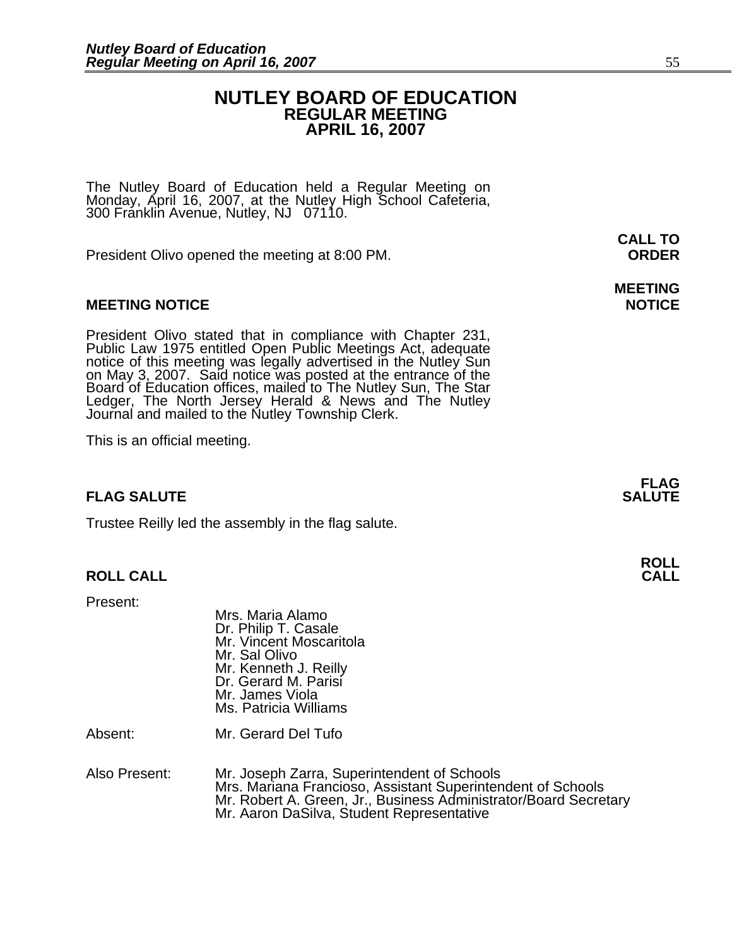### **NUTLEY BOARD OF EDUCATION REGULAR MEETING APRIL 16, 2007**

The Nutley Board of Education held a Regular Meeting on Monday, April 16, 2007, at the Nutley High School Cafeteria, 300 Franklin Avenue, Nutley, NJ 07110.

President Olivo opened the meeting at 8:00 PM. **ORDER**

### **MEETING NOTICE NOTICE AND RESERVE ASSESS**

President Olivo stated that in compliance with Chapter 231,<br>Public Law 1975 entitled Open Public Meetings Act, adequate<br>notice of this meeting was legally advertised in the Nutley Sun<br>on May 3, 2007. Said notice was posted Ledger, The North Jersey Herald & News and The Nutley Journal and mailed to the Nutley Township Clerk.

This is an official meeting.

### **FLAG SALUTE** SALUTE SALUTE SALUTE SALUTE SALUTE

Trustee Reilly led the assembly in the flag salute.

### **ROLL CALL**

Present:

|         | Mrs. Maria Alamo<br>Dr. Philip T. Casale<br>Mr. Vincent Moscaritola<br>Mr. Sal Olivo<br>Mr. Kenneth J. Reilly<br>Dr. Gerard M. Parisi<br>Mr. James Viola<br>Ms. Patricia Williams |
|---------|-----------------------------------------------------------------------------------------------------------------------------------------------------------------------------------|
| Absent: | Mr. Gerard Del Tufo                                                                                                                                                               |
|         |                                                                                                                                                                                   |

Also Present: Mr. Joseph Zarra, Superintendent of Schools Mrs. Mariana Francioso, Assistant Superintendent of Schools Mr. Robert A. Green, Jr., Business Administrator/Board Secretary Mr. Aaron DaSilva, Student Representative

# **MEETING**

**FLAG** 

**ROLL**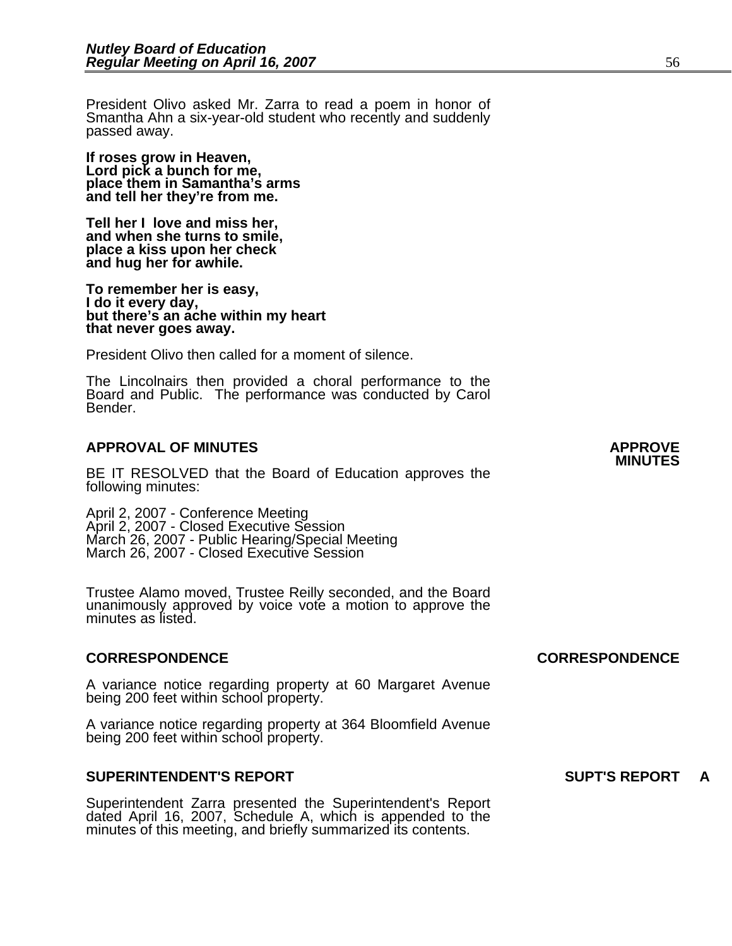President Olivo asked Mr. Zarra to read a poem in honor of Smantha Ahn a six-year-old student who recently and suddenly passed away.

**If roses grow in Heaven, Lord pick a bunch for me, place them in Samantha's arms and tell her they're from me.** 

**Tell her I love and miss her, and when she turns to smile, place a kiss upon her check and hug her for awhile.** 

**To remember her is easy, I do it every day, but there's an ache within my heart that never goes away.** 

President Olivo then called for a moment of silence.

The Lincolnairs then provided a choral performance to the Board and Public. The performance was conducted by Carol Bender.

### **APPROVAL OF MINUTES APPROVE**

BE IT RESOLVED that the Board of Education approves the following minutes:

 April 2, 2007 - Conference Meeting April 2, 2007 - Closed Executive Session March 26, 2007 - Public Hearing/Special Meeting March 26, 2007 - Closed Executive Session

Trustee Alamo moved, Trustee Reilly seconded, and the Board unanimously approved by voice vote a motion to approve the minutes as listed.

### **CORRESPONDENCE CORRESPONDENCE**

A variance notice regarding property at 60 Margaret Avenue being 200 feet within school property.

A variance notice regarding property at 364 Bloomfield Avenue being 200 feet within school property.

### **SUPERINTENDENT'S REPORT SUPT'S REPORT A**

Superintendent Zarra presented the Superintendent's Report dated April 16, 2007, Schedule A, which is appended to the minutes of this meeting, and briefly summarized its contents.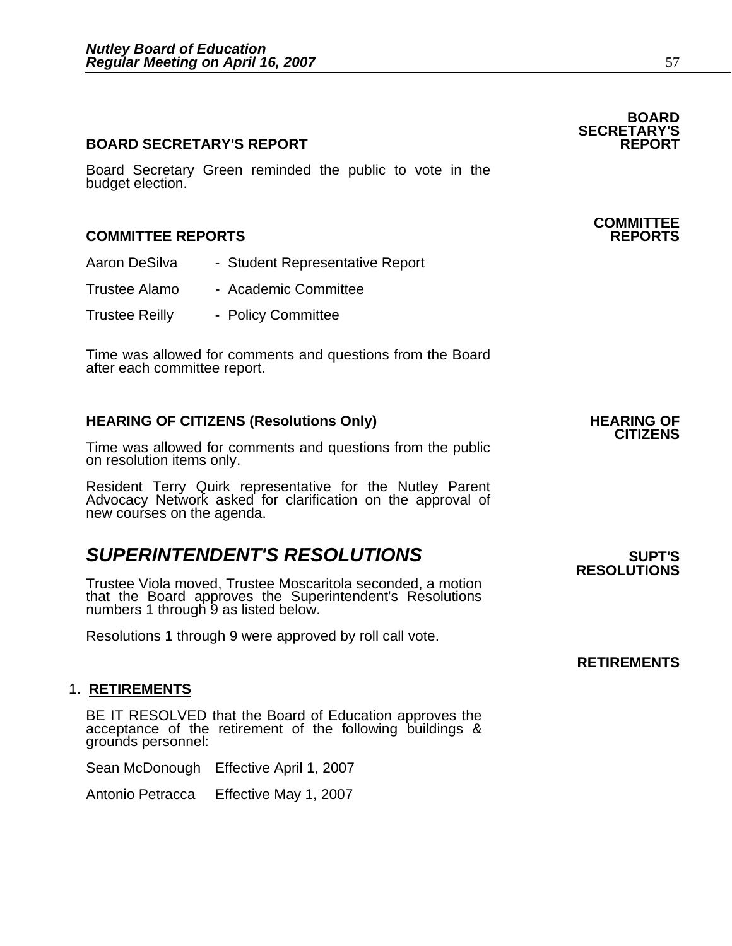### **BOARD SECRETARY'S REPORT**

Board Secretary Green reminded the public to vote in the budget election.

### **COMMITTEE REPORTS REPORTS**

- Aaron DeSilva Student Representative Report
- Trustee Alamo Academic Committee
- Trustee Reilly Policy Committee

Time was allowed for comments and questions from the Board after each committee report.

### **HEARING OF CITIZENS (Resolutions Only) HEARING OF CITIZENS**

Time was allowed for comments and questions from the public on resolution items only.

Resident Terry Quirk representative for the Nutley Parent Advocacy Network asked for clarification on the approval of new courses on the agenda.

### **SUPERINTENDENT'S RESOLUTIONS EXAMPLE ASSESSED ASSESSED ASSESSED ASSESSED ASSESSED ASSESSED ASSESSED ASSESSED ASSESSED ASSESSED ASSESSED ASSESSED ASSESSED ASSESSED ASSESSED ASSESSED ASSESSED ASSESSED ASSESSED ASSESSED AS**

Trustee Viola moved, Trustee Moscaritola seconded, a motion that the Board approves the Superintendent's Resolutions numbers 1 through 9 as listed below.

Resolutions 1 through 9 were approved by roll call vote.

### 1. **RETIREMENTS**

BE IT RESOLVED that the Board of Education approves the acceptance of the retirement of the following buildings & grounds personnel:

Sean McDonough Effective April 1, 2007

Antonio Petracca Effective May 1, 2007

**RESOLUTIONS** 

**RETIREMENTS** 

### **COMMITTEE**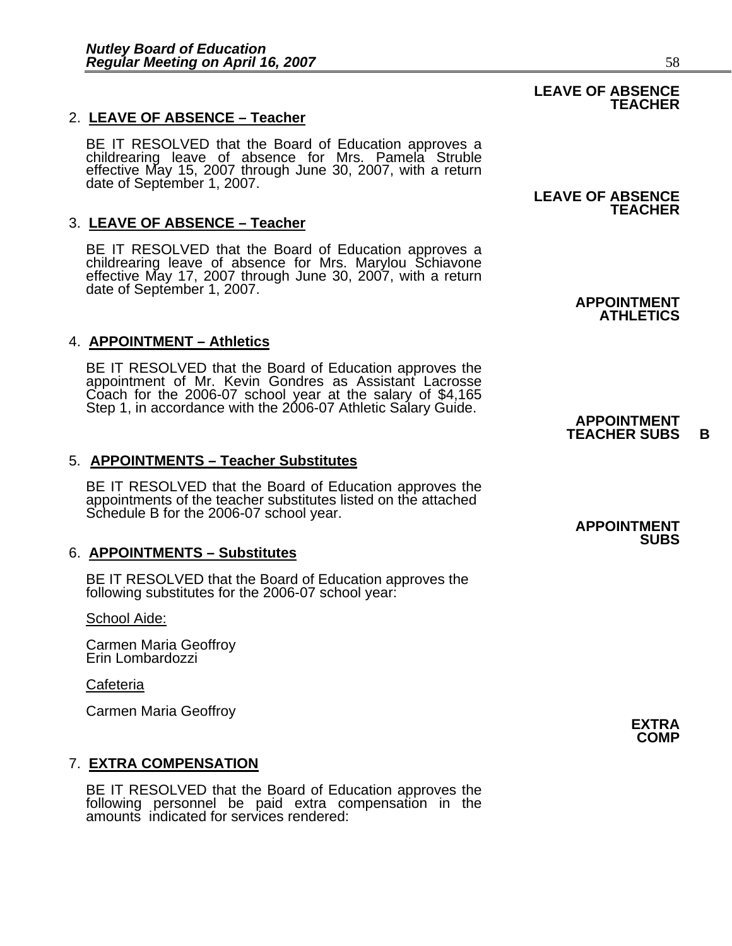### 2. **LEAVE OF ABSENCE – Teacher**

BE IT RESOLVED that the Board of Education approves a childrearing leave of absence for Mrs. Pamela Struble effective May 15, 2007 through June 30, 2007, with a return date of September 1, 2007.

### 3. **LEAVE OF ABSENCE – Teacher**

BE IT RESOLVED that the Board of Education approves a childrearing leave of absence for Mrs. Marylou Schiavone effective May 17, 2007 through June 30, 2007, with a return date of September 1, 2007.

### 4. **APPOINTMENT – Athletics**

BE IT RESOLVED that the Board of Education approves the appointment of Mr. Kevin Gondres as Assistant Lacrosse Coach for the 2006-07 school year at the salary of \$4,165<br>Step 1, in accordance with the 2006-07 Athletic Salary Guide. **APPOINTMENT** 

### 5. **APPOINTMENTS – Teacher Substitutes**

BE IT RESOLVED that the Board of Education approves the appointments of the teacher substitutes listed on the attached Schedule B for the 2006-07 school year.<br>**APPOINTMENT** 

### 6. **APPOINTMENTS – Substitutes**

BE IT RESOLVED that the Board of Education approves the following substitutes for the 2006-07 school year:

School Aide:

Carmen Maria Geoffroy Erin Lombardozzi

### **Cafeteria**

Carmen Maria Geoffroy **EXTRA** 

### 7. **EXTRA COMPENSATION**

BE IT RESOLVED that the Board of Education approves the following personnel be paid extra compensation in the amounts indicated for services rendered:

### **LEAVE OF ABSENCE TEACHER**

## **TEACHER**

**APPOINTMENT ATHLETICS**

# **TEACHER SUBS B**

**SUBS**

**COMP**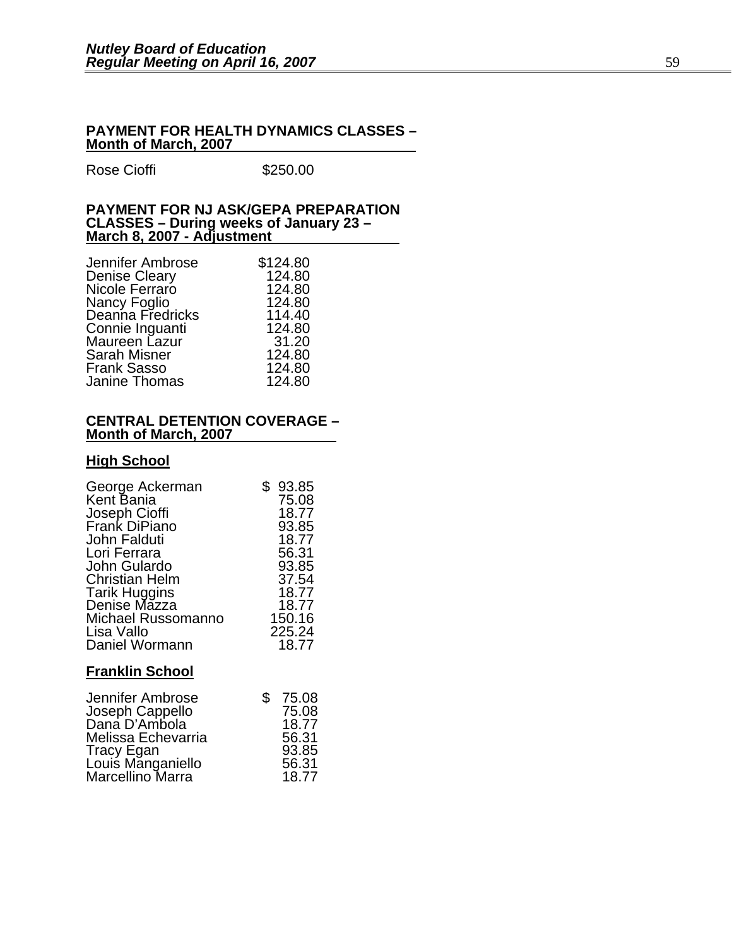#### **PAYMENT FOR HEALTH DYNAMICS CLASSES – Month of March, 2007**

Rose Cioffi **\$250.00** 

#### **PAYMENT FOR NJ ASK/GEPA PREPARATION CLASSES – During weeks of January 23 – March 8, 2007 - Adjustment**

| Jennifer Ambrose                 | \$124.80 |
|----------------------------------|----------|
| Denise Cleary                    | 124.80   |
| Nicole Ferraro                   | 124.80   |
|                                  | 124.80   |
| Nancy Foglio<br>Deanna Fredricks | 114.40   |
| Connie Inguanti                  | 124.80   |
| Maureen Lazur                    | 31.20    |
| <b>Sarah Misner</b>              | 124.80   |
| Frank Sasso                      | 124.80   |
| Janine Thomas                    | 124.80   |
|                                  |          |

#### **CENTRAL DETENTION COVERAGE – Month of March, 2007**

### **High School**

| George Ackerman        | 93.85  |
|------------------------|--------|
| Kent Bania             | 75.08  |
| Joseph Cioffi          | 18.77  |
| Frank DiPiano          | 93.85  |
| John Falduti           | 18.77  |
| Lori Ferrara           | 56.31  |
| John Gulardo           | 93.85  |
| <b>Christian Helm</b>  | 37.54  |
| <b>Tarik Huggins</b>   | 18.77  |
| Denise Mazza           | 18.77  |
| Michael Russomanno     | 150.16 |
| Lisa Vallo             | 225.24 |
| Daniel Wormann         | 18.77  |
| <b>Franklin School</b> |        |

| Jennifer Ambrose                | 75.08 |
|---------------------------------|-------|
| Joseph Cappello                 | 75.08 |
| Dana D'Ambola                   | 18.77 |
| Melissa Echevarria              | 56.31 |
| Tracy Egan<br>Louis Manganiello | 93.85 |
|                                 | 56.31 |
| Marcellino Marra                | 18.77 |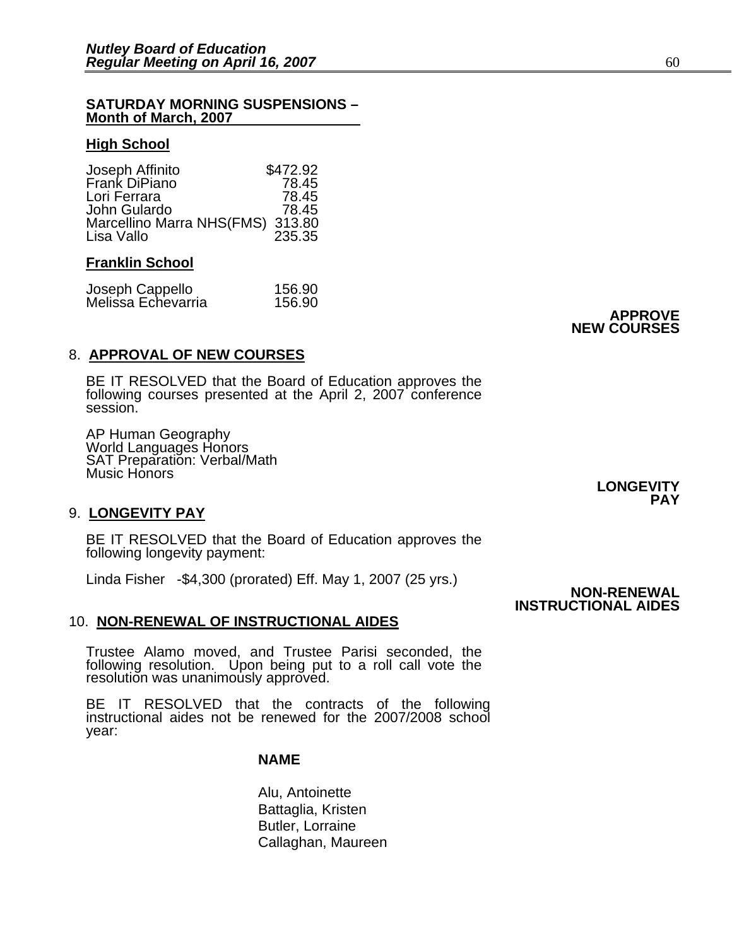#### **SATURDAY MORNING SUSPENSIONS – Month of March, 2007**

### **High School**

| Joseph Affinito                  | \$472.92 |
|----------------------------------|----------|
| Frank DiPiano                    | 78.45    |
| Lori Ferrara                     | 78.45    |
| John Gulardo                     | 78.45    |
| Marcellino Marra NHS(FMS) 313.80 |          |
| Lisa Vallo                       | 235.35   |

### **Franklin School**

| Joseph Cappello    | 156.90 |
|--------------------|--------|
| Melissa Echevarria | 156.90 |

**APPROVE NEW COURSES**

### 8. **APPROVAL OF NEW COURSES**

BE IT RESOLVED that the Board of Education approves the following courses presented at the April 2, 2007 conference session.

AP Human Geography World Languages Honors SAT Preparation: Verbal/Math Music Honors

### 9. **LONGEVITY PAY**

BE IT RESOLVED that the Board of Education approves the following longevity payment:

Linda Fisher -\$4,300 (prorated) Eff. May 1, 2007 (25 yrs.) **NON-RENEWAL** 

### 10. **NON-RENEWAL OF INSTRUCTIONAL AIDES**

Trustee Alamo moved, and Trustee Parisi seconded, the following resolution. Upon being put to a roll call vote the resolution was unanimously approved.

BE IT RESOLVED that the contracts of the following instructional aides not be renewed for the 2007/2008 school year: Í

#### **NAME**

 Alu, Antoinette Battaglia, Kristen Butler, Lorraine Callaghan, Maureen **LONGEVITY PAY** 

## **INSTRUCTIONAL AIDES**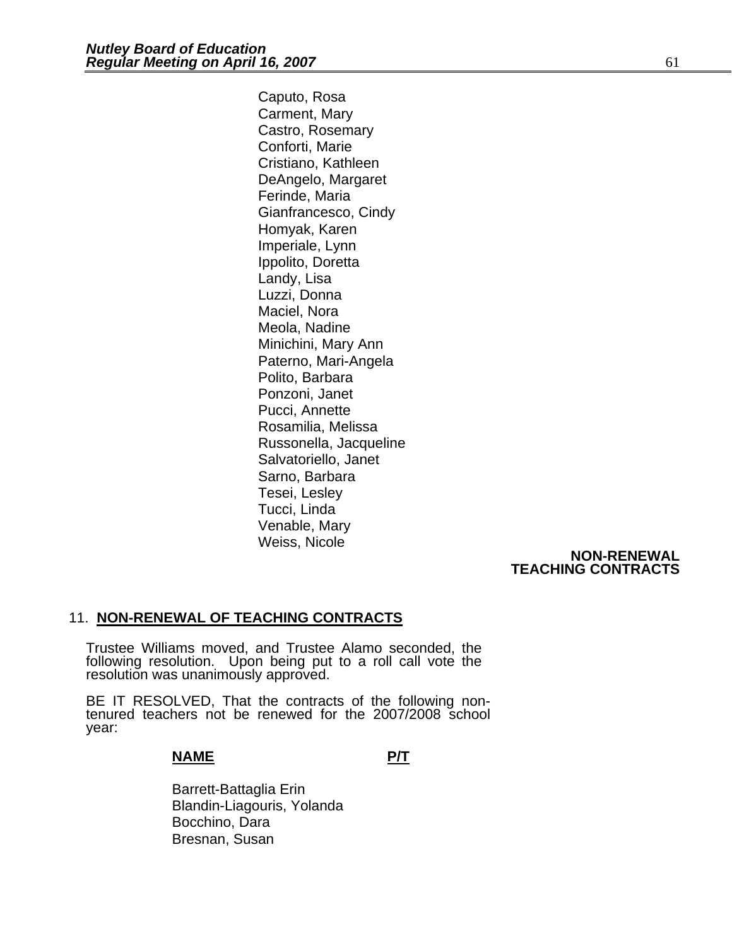Caputo, Rosa Carment, Mary Castro, Rosemary Conforti, Marie Cristiano, Kathleen DeAngelo, Margaret Ferinde, Maria Gianfrancesco, Cindy Homyak, Karen Imperiale, Lynn Ippolito, Doretta Landy, Lisa Luzzi, Donna Maciel, Nora Meola, Nadine Minichini, Mary Ann Paterno, Mari-Angela Polito, Barbara Ponzoni, Janet Pucci, Annette Rosamilia, Melissa Russonella, Jacqueline Salvatoriello, Janet Sarno, Barbara Tesei, Lesley Tucci, Linda Venable, Mary Weiss, Nicole

### **NON-RENEWAL TEACHING CONTRACTS**

### 11. **NON-RENEWAL OF TEACHING CONTRACTS**

Trustee Williams moved, and Trustee Alamo seconded, the following resolution. Upon being put to a roll call vote the resolution was unanimously approved.

BE IT RESOLVED, That the contracts of the following non- tenured teachers not be renewed for the 2007/2008 school year:

### **NAME P/T**

 Barrett-Battaglia Erin Blandin-Liagouris, Yolanda Bocchino, Dara Bresnan, Susan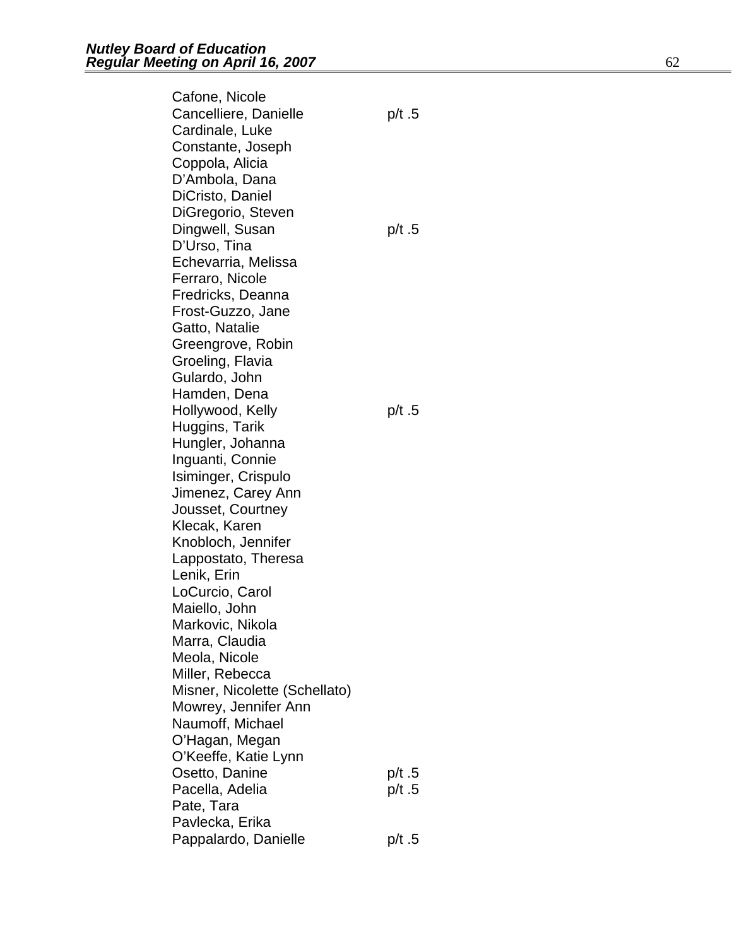Cafone, Nicole Cancelliere, Danielle p/t .5 Cardinale, Luke Constante, Joseph Coppola, Alicia D'Ambola, Dana DiCristo, Daniel DiGregorio, Steven Dingwell, Susan p/t .5 D'Urso, Tina Echevarria, Melissa Ferraro, Nicole Fredricks, Deanna Frost-Guzzo, Jane Gatto, Natalie Greengrove, Robin Groeling, Flavia Gulardo, John Hamden, Dena Hollywood, Kelly **p/t** .5 Huggins, Tarik Hungler, Johanna Inguanti, Connie Isiminger, Crispulo Jimenez, Carey Ann Jousset, Courtney Klecak, Karen Knobloch, Jennifer Lappostato, Theresa Lenik, Erin LoCurcio, Carol Maiello, John Markovic, Nikola Marra, Claudia Meola, Nicole Miller, Rebecca Misner, Nicolette (Schellato) Mowrey, Jennifer Ann Naumoff, Michael O'Hagan, Megan O'Keeffe, Katie Lynn Osetto, Danine p/t .5 Pacella, Adelia p/t .5 Pate, Tara Pavlecka, Erika Pappalardo, Danielle p/t .5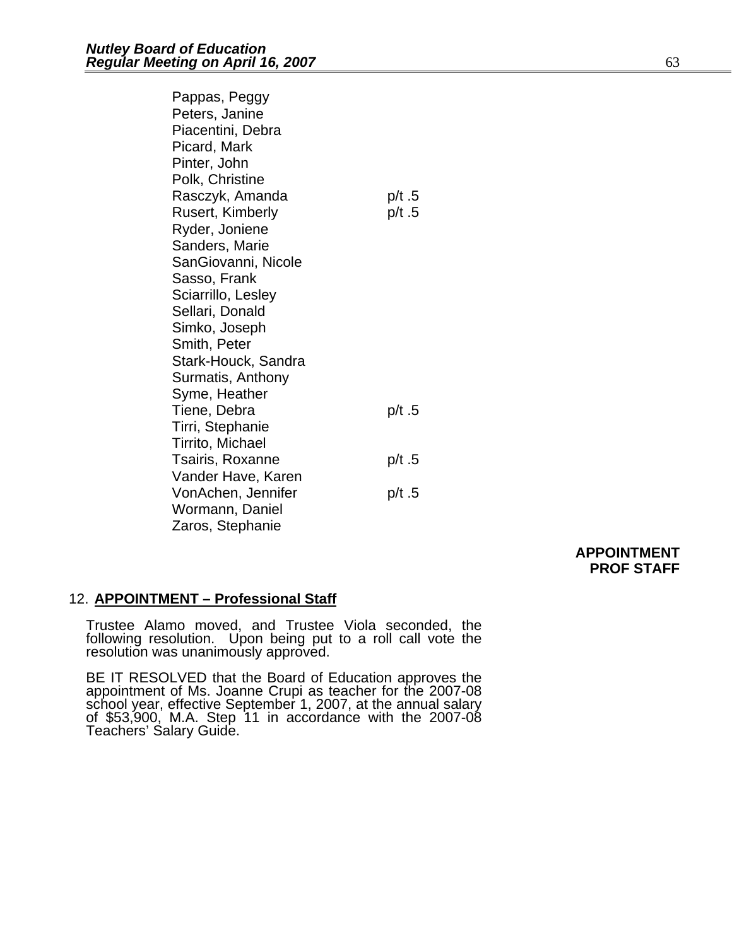| Pappas, Peggy           |        |
|-------------------------|--------|
| Peters, Janine          |        |
| Piacentini, Debra       |        |
| Picard, Mark            |        |
| Pinter, John            |        |
| Polk, Christine         |        |
| Rasczyk, Amanda         | p/t .5 |
| <b>Rusert, Kimberly</b> | p/t .5 |
| Ryder, Joniene          |        |
| Sanders, Marie          |        |
| SanGiovanni, Nicole     |        |
| Sasso, Frank            |        |
| Sciarrillo, Lesley      |        |
| Sellari, Donald         |        |
| Simko, Joseph           |        |
| Smith, Peter            |        |
| Stark-Houck, Sandra     |        |
| Surmatis, Anthony       |        |
| Syme, Heather           |        |
| Tiene, Debra            | p/t.5  |
| Tirri, Stephanie        |        |
| Tirrito, Michael        |        |
| Tsairis, Roxanne        | p/t .5 |
| Vander Have, Karen      |        |
| VonAchen, Jennifer      | p/t .5 |
| Wormann, Daniel         |        |
| Zaros, Stephanie        |        |

### **APPOINTMENT PROF STAFF**

### 12. **APPOINTMENT – Professional Staff**

Trustee Alamo moved, and Trustee Viola seconded, the following resolution. Upon being put to a roll call vote the resolution was unanimously approved.

BE IT RESOLVED that the Board of Education approves the appointment of Ms. Joanne Crupi as teacher for the 2007-08 school year, effective September 1, 2007, at the annual salary<br>of \$53,900, M.A. Step 11 in accordance with the 2007-08 Teachers' Salary Guide.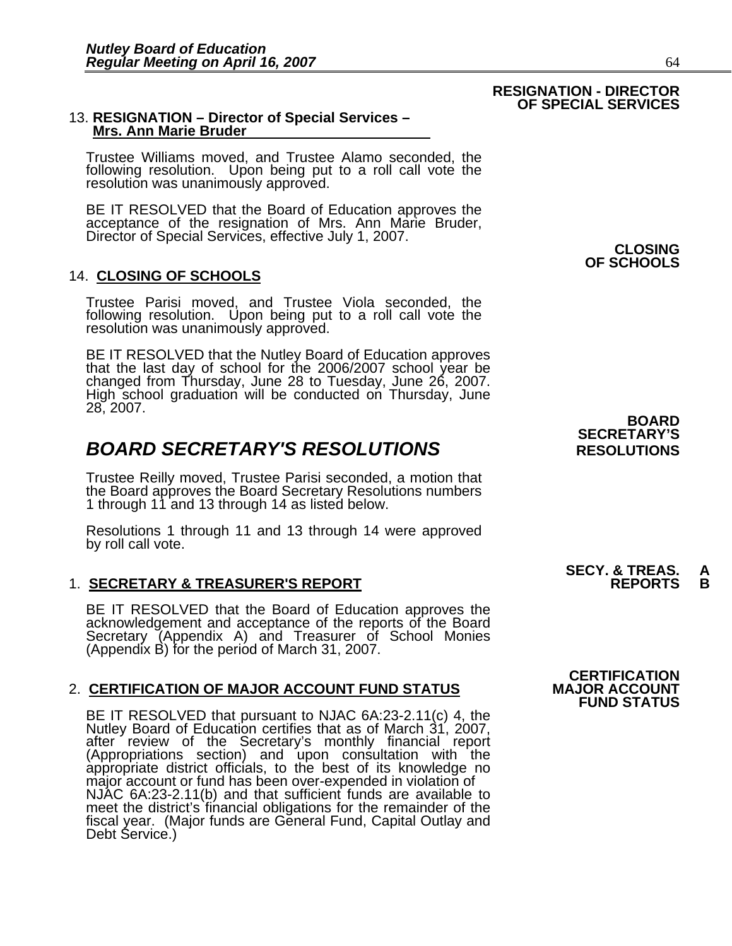## 13. **RESIGNATION – Director of Special Services – Mrs. Ann Marie Bruder**

Trustee Williams moved, and Trustee Alamo seconded, the following resolution. Upon being put to a roll call vote the resolution was unanimously approved.

BE IT RESOLVED that the Board of Education approves the acceptance of the resignation of Mrs. Ann Marie Bruder, Director of Special Services, effective July 1, 2007. **CLOSING** 

### 14. **CLOSING OF SCHOOLS**

Trustee Parisi moved, and Trustee Viola seconded, the following resolution. Upon being put to a roll call vote the resolution was unanimously approved.

BE IT RESOLVED that the Nutley Board of Education approves that the last day of school for the 2006/2007 school year be changed from Thursday, June 28 to Tuesday, June 26, 2007. High school graduation will be conducted on Thursday, June 28, 2007.

### **BOARD SECRETARY'S RESOLUTIONS** RESOLUTIONS

Trustee Reilly moved, Trustee Parisi seconded, a motion that the Board approves the Board Secretary Resolutions numbers 1 through 11 and 13 through 14 as listed below.

Resolutions 1 through 11 and 13 through 14 were approved by roll call vote.

### 1. **SECRETARY & TREASURER'S REPORT**

BE IT RESOLVED that the Board of Education approves the<br>acknowledgement and acceptance of the reports of the Board<br>Secretary (Appendix A) and Treasurer of School Monies (Appendix B) for the period of March 31, 2007.

### 2. **CERTIFICATION OF MAJOR ACCOUNT FUND STATUS**

BE IT RESOLVED that pursuant to NJAC 6A:23-2.11(c) 4, the Nutley Board of Education certifies that as of March 31, 2007, after review of the Secretary's monthly financial report<br>(Appropriations section) and upon consultation with the<br>appropriate district officials, to the best of its knowledge no<br>major account or fund has been over-expended meet the district's financial obligations for the remainder of the fiscal year. (Major funds are General Fund, Capital Outlay and Debt Service.)

**OF SCHOOLS**

### **BOARD SECRETARY'S**

# **SECY. & TREAS. A**

### **CERTIFICATION FUND STATUS**

### **RESIGNATION - DIRECTOR OF SPECIAL SERVICES**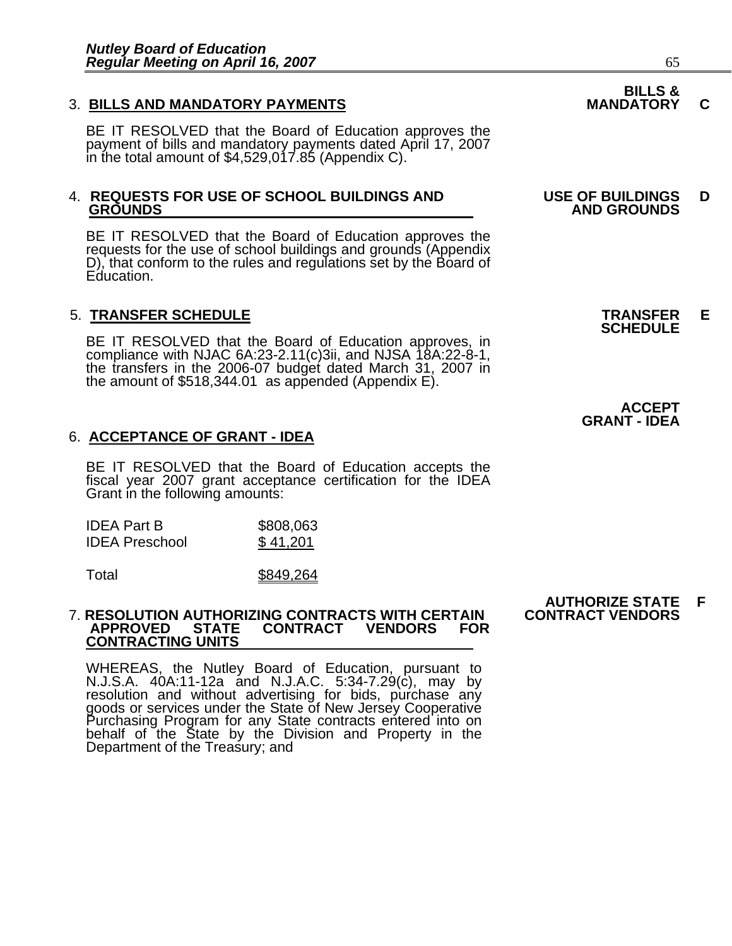### 3. BILLS AND MANDATORY PAYMENTS **MANDATORY C**

BE IT RESOLVED that the Board of Education approves the payment of bills and mandatory payments dated April 17, 2007 in the total amount of \$4,529,017.85 (Appendix C).

## 4. **REQUESTS FOR USE OF SCHOOL BUILDINGS AND USE OF BUILDINGS D**

BE IT RESOLVED that the Board of Education approves the requests for the use of school buildings and grounds (Appendix D), that conform to the rules and regulations set by the Board of Education.

5. **TRANSFER SCHEDULE**<br>**BE IT RESOLVED that the Board of Education approves, in SCHEDULE**<br>**BE IT RESOLVED that the Board of Education approves, in** compliance with NJAC 6A:23-2.11(c)3ii, and NJSA 18A:22-8-1, the transfers in the 2006-07 budget dated March 31, 2007 in the amount of \$518,344.01 as appended (Appendix E).

### 6. **ACCEPTANCE OF GRANT - IDEA**

BE IT RESOLVED that the Board of Education accepts the fiscal year 2007 grant acceptance certification for the IDEA Grant in the following amounts:

| <b>IDEA Part B</b>    | \$808,063 |
|-----------------------|-----------|
| <b>IDEA Preschool</b> | \$41,201  |

Total \$849,264

#### 7. **RESOLUTION AUTHORIZING CONTRACTS WITH CERTAIN CONTRACT VENDORS CONTRACT CONTRACTING UNITS**

WHEREAS, the Nutley Board of Education, pursuant to N.J.S.A. 40A:11-12a and N.J.A.C. 5:34-7.29(c), may by resolution and without advertising for bids, purchase any goods or services under the State of New Jersey Cooperative<br>Purchasing Program for any State contracts entered into on behalf of the State by the Division and Property in the<br>Department of the Treasury; and

### **BILLS &**

## **GROUNDS AND GROUNDS**

**ACCEPT GRANT - IDEA**

**AUTHORIZE STATE F**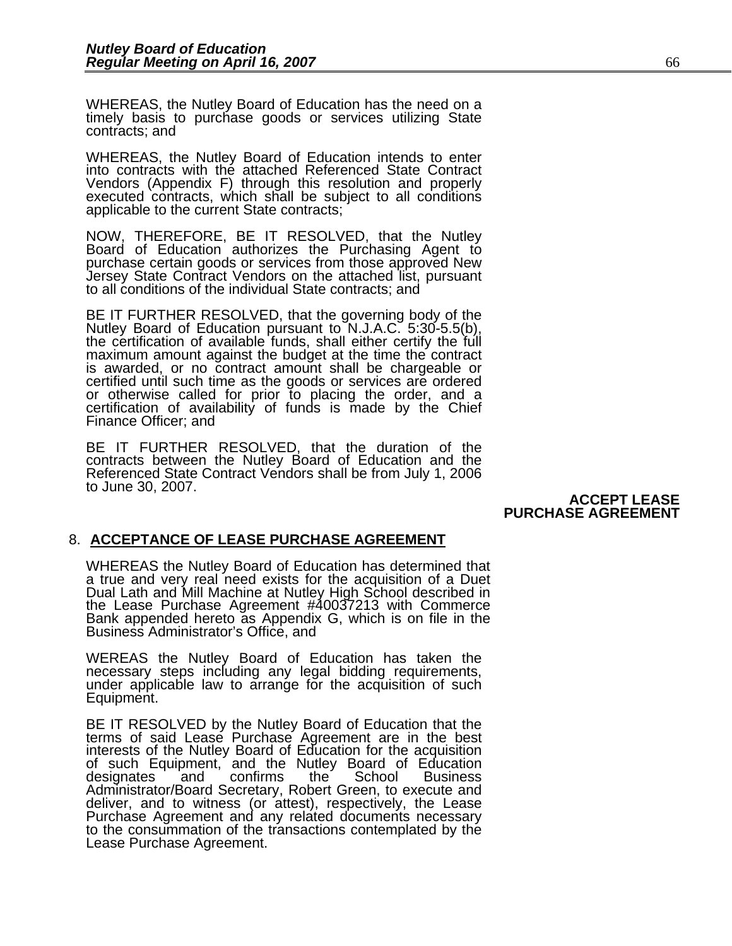WHEREAS, the Nutley Board of Education has the need on a timely basis to purchase goods or services utilizing State contracts; and

WHEREAS, the Nutley Board of Education intends to enter into contracts with the attached Referenced State Contract Vendors (Appendix F) through this resolution and properly executed contracts, which shall be subject to all conditions applicable to the current State contracts;

NOW, THEREFORE, BE IT RESOLVED, that the Nutley Board of Education authorizes the Purchasing Agent to purchase certain goods or services from those approved New Jersey State Contract Vendors on the attached list, pursuant to all conditions of the individual State contracts; and

BE IT FURTHER RESOLVED, that the governing body of the Nutley Board of Education pursuant to N.J.A.C. 5:30-5.5(b), the certification of available funds, shall either certify the full maximum amount against the budget at th certified until such time as the goods or services are ordered<br>or otherwise called for prior to placing the order, and a<br>certification of availability of funds is made by the Chief<br>Finance Officer: and

BE IT FURTHER RESOLVED, that the duration of the contracts between the Nutley Board of Education and the Referenced State Contract Vendors shall be from July 1, 2006 to June 30, 2007.

**ACCEPT LEASE PURCHASE AGREEMENT**

### 8. **ACCEPTANCE OF LEASE PURCHASE AGREEMENT**

WHEREAS the Nutley Board of Education has determined that a true and very real need exists for the acquisition of a Duet Dual Lath and Mill Machine at Nutley High School described in the Lease Purchase Agreement #40037213 with Commerce Bank appended hereto as Appendix G, which is on file in the Business Administrator's Office, and

WEREAS the Nutley Board of Education has taken the necessary steps including any legal bidding requirements, under applicable law to arrange for the acquisition of such Equipment.

BE IT RESOLVED by the Nutley Board of Education that the terms of said Lease Purchase Agreement are in the best interests of the Nutley Board of Education for the acquisition<br>of such Equipment, and the Nutley Board of Education of such Equipment, and the Nutley Board of Education<br>designates and confirms the School Business Administrator/Board Secretary, Robert Green, to execute and deliver, and to witness (or attest), respectively, the Lease Purchase Agreement and any related documents necessary to the consummation of the transactions contemplated by the Lease Purchase Agreement.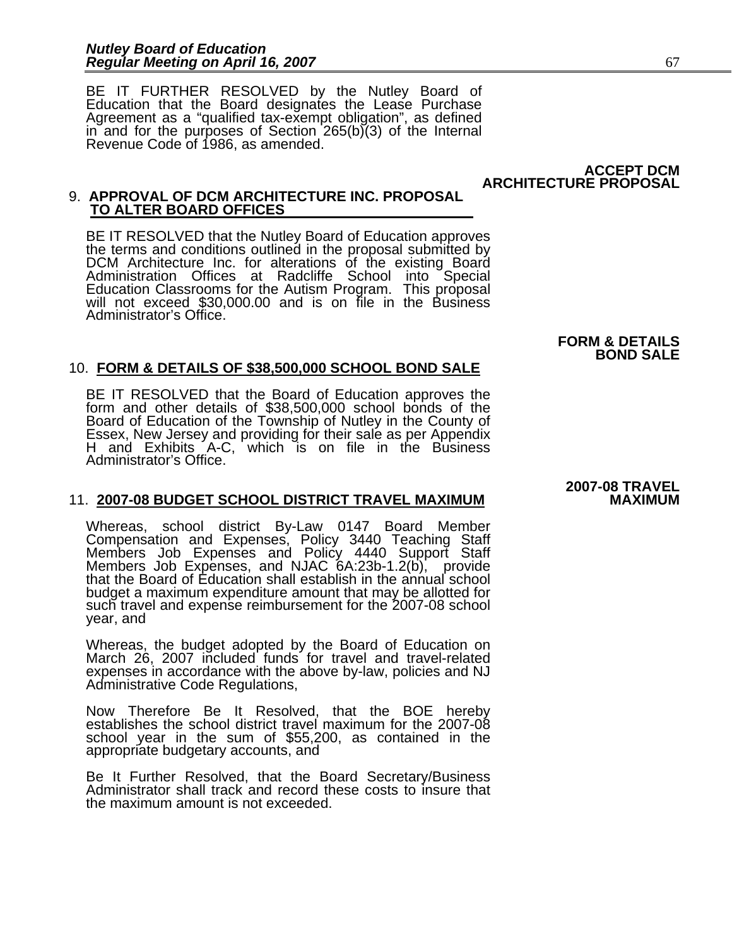BE IT FURTHER RESOLVED by the Nutley Board of Education that the Board designates the Lease Purchase Agreement as a "qualified tax-exempt obligation", as defined in and for the purposes of Section 265(b)(3) of the Internal Revenue Code of 1986, as amended.

> **ACCEPT DCM ARCHITECTURE PROPOSAL**

### 9. **APPROVAL OF DCM ARCHITECTURE INC. PROPOSAL TO ALTER BOARD OFFICES**

BE IT RESOLVED that the Nutley Board of Education approves<br>the terms and conditions outlined in the proposal submitted by<br>DCM Architecture Inc. for alterations of the existing Board<br>Administration Offices at Radcliffe Scho Administrator's Office.

### 10. **FORM & DETAILS OF \$38,500,000 SCHOOL BOND SALE**

BE IT RESOLVED that the Board of Education approves the form and other details of \$38,500,000 school bonds of the Board of Education of the Township of Nutley in the County of Essex, New Jersey and providing for their sale as per Appendix<br>H and Exhibits A-C, which is on file in the Business Administrator's Office.

### 11. 2007-08 BUDGET SCHOOL DISTRICT TRAVEL MAXIMUM

Whereas, school district By-Law 0147 Board Member Compensation and Expenses, Policy 3440 Teaching Staff Members Job Expenses and Policy 4440 Support Staff Members Job Expenses, and NJAC 6A:23b-1.2(b), provide that the Board of Education shall establish in the annual school budget a maximum expenditure amount that may be allotted for such travel and expense reimbursement for the 2007-08 school year, and

Whereas, the budget adopted by the Board of Education on March 26, 2007 included funds for travel and travel-related expenses in accordance with the above by-law, policies and NJ Administrative Code Regulations,

Now Therefore Be It Resolved, that the BOE hereby establishes the school district travel maximum for the 2007-08 school year in the sum of \$55,200, as contained in the appropriate budgetary accounts, and

Be It Further Resolved, that the Board Secretary/Business Administrator shall track and record these costs to insure that the maximum amount is not exceeded.

**2007-08 TRAVEL** 

**FORM & DETAILS BOND SALE**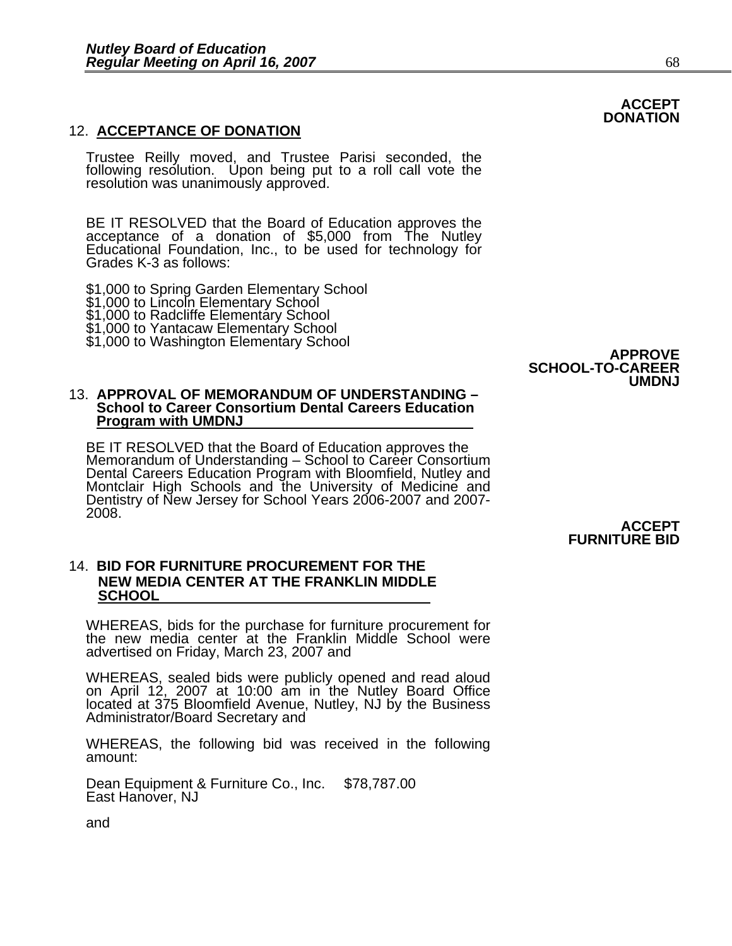### 12. **ACCEPTANCE OF DONATION**

Trustee Reilly moved, and Trustee Parisi seconded, the following resolution. Upon being put to a roll call vote the resolution was unanimously approved.

BE IT RESOLVED that the Board of Education approves the acceptance of a donation of \$5,000 from The Nutley Educational Foundation, Inc., to be used for technology for Grades K-3 as follows:

\$1,000 to Spring Garden Elementary School \$1,000 to Lincoln Elementary School \$1,000 to Radcliffe Elementary School \$1,000 to Yantacaw Elementary School \$1,000 to Washington Elementary School **APPROVE** 

### **SCHOOL-TO-CAREER UMDNJ**

#### 13. **APPROVAL OF MEMORANDUM OF UNDERSTANDING – School to Career Consortium Dental Careers Education Program with UMDNJ**

BE IT RESOLVED that the Board of Education approves the<br>Memorandum of Understanding – School to Career Consortium Dental Careers Education Program with Bloomfield, Nutley and<br>Montclair High Schools and the University of Medicine and<br>Dentistry of New Jersey for School Years 2006-2007 and 2007-2008.

**ACCEPT FURNITURE BID** 

### 14. **BID FOR FURNITURE PROCUREMENT FOR THE NEW MEDIA CENTER AT THE FRANKLIN MIDDLE SCHOOL**

WHEREAS, bids for the purchase for furniture procurement for the new media center at the Franklin Middle School were advertised on Friday, March 23, 2007 and

WHEREAS, sealed bids were publicly opened and read aloud on April 12, 2007 at 10:00 am in the Nutley Board Office located at 375 Bloomfield Avenue, Nutley, NJ by the Business Administrator/Board Secretary and

WHEREAS, the following bid was received in the following amount:

Dean Equipment & Furniture Co., Inc. \$78,787.00 East Hanover, NJ

and

### **ACCEPT DONATION**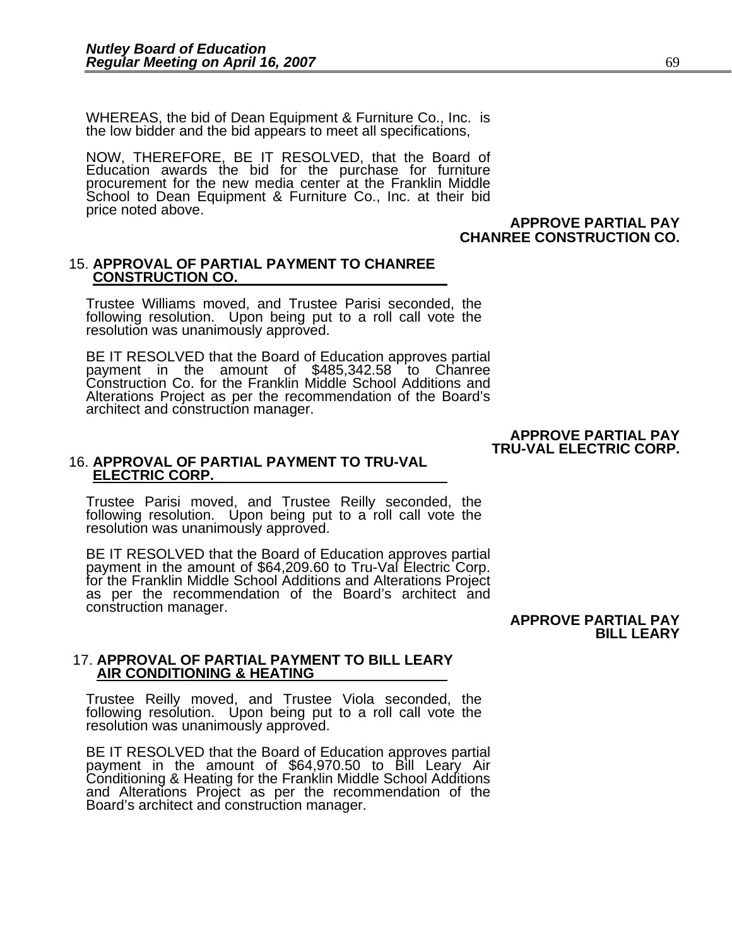WHEREAS, the bid of Dean Equipment & Furniture Co., Inc. is the low bidder and the bid appears to meet all specifications,

NOW, THEREFORE, BE IT RESOLVED, that the Board of Education awards the bid for the purchase for furniture procurement for the new media center at the Franklin Middle School to Dean Equipment & Furniture Co., Inc. at their bid price noted above.

### **APPROVE PARTIAL PAY CHANREE CONSTRUCTION CO.**

# 15. **APPROVAL OF PARTIAL PAYMENT TO CHANREE CONSTRUCTION CO.**

Trustee Williams moved, and Trustee Parisi seconded, the following resolution. Upon being put to a roll call vote the resolution was unanimously approved.

BE IT RESOLVED that the Board of Education approves partial payment in the amount of \$485,342.58 to Chanree Construction Co. for the Franklin Middle School Additions and Alterations Project as per the recommendation of the Board's architect and construction manager.

#### **APPROVE PARTIAL PAY TRU-VAL ELECTRIC CORP.**

# 16. **APPROVAL OF PARTIAL PAYMENT TO TRU-VAL ELECTRIC CORP.**

Trustee Parisi moved, and Trustee Reilly seconded, the following resolution. Upon being put to a roll call vote the resolution was unanimously approved.

BE IT RESOLVED that the Board of Education approves partial payment in the amount of \$64,209.60 to Tru-Val Electric Corp.<br>for the Franklin Middle School Additions and Alterations Project<br>as per the recommendation of the Board's architect and construction manager.

#### **APPROVE PARTIAL PAY BILL LEARY**

# 17. **APPROVAL OF PARTIAL PAYMENT TO BILL LEARY AIR CONDITIONING & HEATING**

Trustee Reilly moved, and Trustee Viola seconded, the following resolution. Upon being put to a roll call vote the resolution was unanimously approved.

BE IT RESOLVED that the Board of Education approves partial payment in the amount of \$64,970.50 to Bill Leary Air Conditioning & Heating for the Franklin Middle School Additions and Alterations Project as per the recommendation of the Board's architect and construction manager.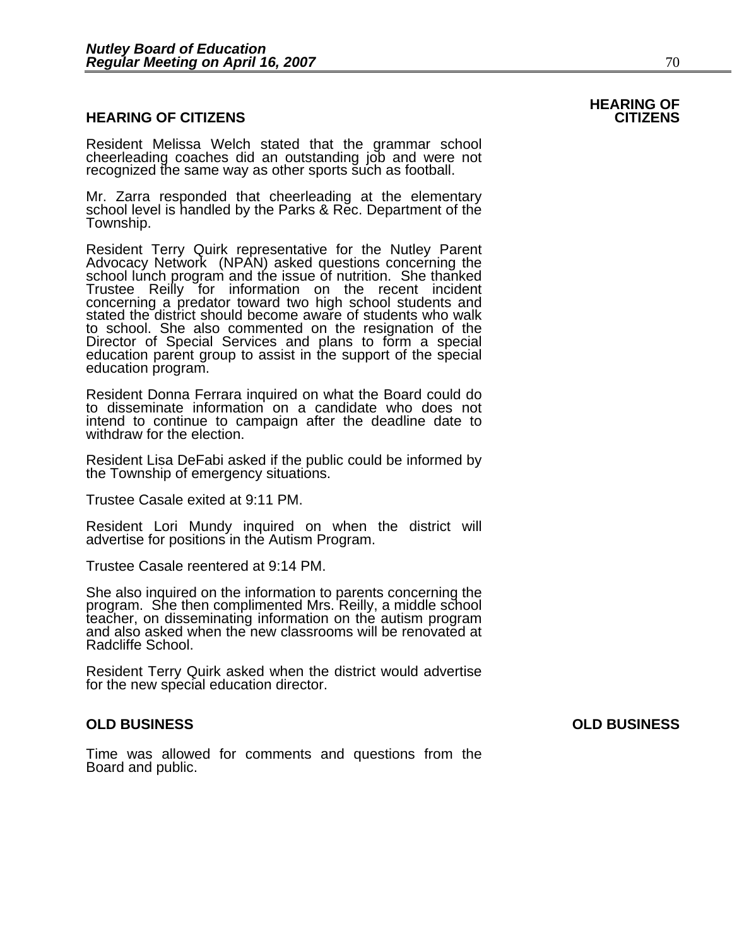### **HEARING OF CITIZENS CITIZENS**

Resident Melissa Welch stated that the grammar school cheerleading coaches did an outstanding job and were not recognized the same way as other sports such as football.

Mr. Zarra responded that cheerleading at the elementary school level is handled by the Parks & Rec. Department of the Township.

Resident Terry Quirk representative for the Nutley Parent Advocacy Network (NPAN) asked questions concerning the school lunch program and the issue of nutrition. She thanked Trustee Reilly for information on the recent incident concerning a predator toward two high school students and<br>stated the district should become aware of students who walk stated the district should become aware of students who walk<br>to school. She also commented on the resignation of the<br>Director of Special Services and plans to form a special education parent group to assist in the support of the special education program.

Resident Donna Ferrara inquired on what the Board could do to disseminate information on a candidate who does not intend to continue to campaign after the deadline date to withdraw for the election.

Resident Lisa DeFabi asked if the public could be informed by the Township of emergency situations.

Trustee Casale exited at 9:11 PM.

Resident Lori Mundy inquired on when the district will advertise for positions in the Autism Program.

Trustee Casale reentered at 9:14 PM.

She also inquired on the information to parents concerning the program. She then complimented Mrs. Reilly, a middle school teacher, on disseminating information on the autism program and also asked when the new classrooms Radcliffe School.

Resident Terry Quirk asked when the district would advertise for the new special education director.

### **OLD BUSINESS OLD BUSINESS**

Time was allowed for comments and questions from the Board and public.

**HEARING OF**